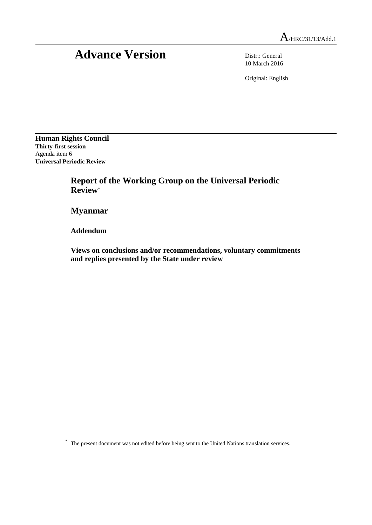## Advance Version Distr.: General

10 March 2016

Original: English

**Human Rights Council Thirty-first session** Agenda item 6 **Universal Periodic Review**

> **Report of the Working Group on the Universal Periodic Review**\*

**Myanmar**

**Addendum**

**Views on conclusions and/or recommendations, voluntary commitments and replies presented by the State under review**

\* The present document was not edited before being sent to the United Nations translation services.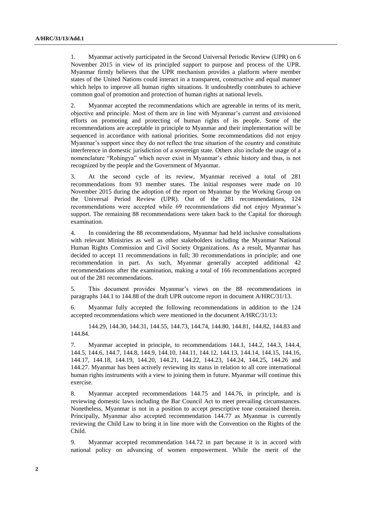1. Myanmar actively participated in the Second Universal Periodic Review (UPR) on 6 November 2015 in view of its principled support to purpose and process of the UPR. Myanmar firmly believes that the UPR mechanism provides a platform where member states of the United Nations could interact in a transparent, constructive and equal manner which helps to improve all human rights situations. It undoubtedly contributes to achieve common goal of promotion and protection of human rights at national levels.

2. Myanmar accepted the recommendations which are agreeable in terms of its merit, objective and principle. Most of them are in line with Myanmar's current and envisioned efforts on promoting and protecting of human rights of its people. Some of the recommendations are acceptable in principle to Myanmar and their implementation will be sequenced in accordance with national priorities. Some recommendations did not enjoy Myanmar's support since they do not reflect the true situation of the country and constitute interference in domestic jurisdiction of a sovereign state. Others also include the usage of a nomenclature "Rohingya" which never exist in Myanmar's ethnic history and thus, is not recognized by the people and the Government of Myanmar.

3. At the second cycle of its review, Myanmar received a total of 281 recommendations from 93 member states. The initial responses were made on 10 November 2015 during the adoption of the report on Myanmar by the Working Group on the Universal Period Review (UPR). Out of the 281 recommendations, 124 recommendations were accepted while 69 recommendations did not enjoy Myanmar's support. The remaining 88 recommendations were taken back to the Capital for thorough examination.

4. In considering the 88 recommendations, Myanmar had held inclusive consultations with relevant Ministries as well as other stakeholders including the Myanmar National Human Rights Commission and Civil Society Organizations. As a result, Myanmar has decided to accept 11 recommendations in full; 30 recommendations in principle; and one recommendation in part. As such, Myanmar generally accepted additional 42 recommendations after the examination, making a total of 166 recommendations accepted out of the 281 recommendations.

5. This document provides Myanmar's views on the 88 recommendations in paragraphs 144.1 to 144.88 of the draft UPR outcome report in document A/HRC/31/13.

6. Myanmar fully accepted the following recommendations in addition to the 124 accepted recommendations which were mentioned in the document A/HRC/31/13:

144.29, 144.30, 144.31, 144.55, 144.73, 144.74, 144.80, 144.81, 144.82, 144.83 and 144.84.

7. Myanmar accepted in principle, to recommendations 144.1, 144.2, 144.3, 144.4, 144.5, 144.6, 144.7, 144.8, 144.9, 144.10, 144.11, 144.12, 144.13, 144.14, 144.15, 144.16, 144.17, 144.18, 144.19, 144.20, 144.21, 144.22, 144.23, 144.24, 144.25, 144.26 and 144.27. Myanmar has been actively reviewing its status in relation to all core international human rights instruments with a view to joining them in future. Myanmar will continue this exercise.

8. Myanmar accepted recommendations 144.75 and 144.76, in principle, and is reviewing domestic laws including the Bar Council Act to meet prevailing circumstances. Nonetheless, Myanmar is not in a position to accept prescriptive tone contained therein. Principally, Myanmar also accepted recommendation 144.77 as Myanmar is currently reviewing the Child Law to bring it in line more with the Convention on the Rights of the Child.

9. Myanmar accepted recommendation 144.72 in part because it is in accord with national policy on advancing of women empowerment. While the merit of the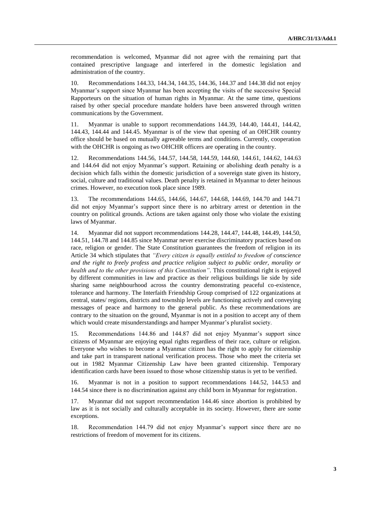recommendation is welcomed, Myanmar did not agree with the remaining part that contained prescriptive language and interfered in the domestic legislation and administration of the country.

10. Recommendations 144.33, 144.34, 144.35, 144.36, 144.37 and 144.38 did not enjoy Myanmar's support since Myanmar has been accepting the visits of the successive Special Rapporteurs on the situation of human rights in Myanmar. At the same time, questions raised by other special procedure mandate holders have been answered through written communications by the Government.

11. Myanmar is unable to support recommendations 144.39, 144.40, 144.41, 144.42, 144.43, 144.44 and 144.45. Myanmar is of the view that opening of an OHCHR country office should be based on mutually agreeable terms and conditions. Currently, cooperation with the OHCHR is ongoing as two OHCHR officers are operating in the country.

12. Recommendations 144.56, 144.57, 144.58, 144.59, 144.60, 144.61, 144.62, 144.63 and 144.64 did not enjoy Myanmar's support. Retaining or abolishing death penalty is a decision which falls within the domestic jurisdiction of a sovereign state given its history, social, culture and traditional values. Death penalty is retained in Myanmar to deter heinous crimes. However, no execution took place since 1989.

13. The recommendations 144.65, 144.66, 144.67, 144.68, 144.69, 144.70 and 144.71 did not enjoy Myanmar's support since there is no arbitrary arrest or detention in the country on political grounds. Actions are taken against only those who violate the existing laws of Myanmar.

14. Myanmar did not support recommendations 144.28, 144.47, 144.48, 144.49, 144.50, 144.51, 144.78 and 144.85 since Myanmar never exercise discriminatory practices based on race, religion or gender. The State Constitution guarantees the freedom of religion in its Article 34 which stipulates that *"Every citizen is equally entitled to freedom of conscience and the right to freely profess and practice religion subject to public order, morality or health and to the other provisions of this Constitution"*. This constitutional right is enjoyed by different communities in law and practice as their religious buildings lie side by side sharing same neighbourhood across the country demonstrating peaceful co-existence, tolerance and harmony. The Interfaith Friendship Group comprised of 122 organizations at central, states/ regions, districts and township levels are functioning actively and conveying messages of peace and harmony to the general public. As these recommendations are contrary to the situation on the ground, Myanmar is not in a position to accept any of them which would create misunderstandings and hamper Myanmar's pluralist society.

15. Recommendations 144.86 and 144.87 did not enjoy Myanmar's support since citizens of Myanmar are enjoying equal rights regardless of their race, culture or religion. Everyone who wishes to become a Myanmar citizen has the right to apply for citizenship and take part in transparent national verification process. Those who meet the criteria set out in 1982 Myanmar Citizenship Law have been granted citizenship. Temporary identification cards have been issued to those whose citizenship status is yet to be verified.

16. Myanmar is not in a position to support recommendations 144.52, 144.53 and 144.54 since there is no discrimination against any child born in Myanmar for registration.

17. Myanmar did not support recommendation 144.46 since abortion is prohibited by law as it is not socially and culturally acceptable in its society. However, there are some exceptions.

18. Recommendation 144.79 did not enjoy Myanmar's support since there are no restrictions of freedom of movement for its citizens.